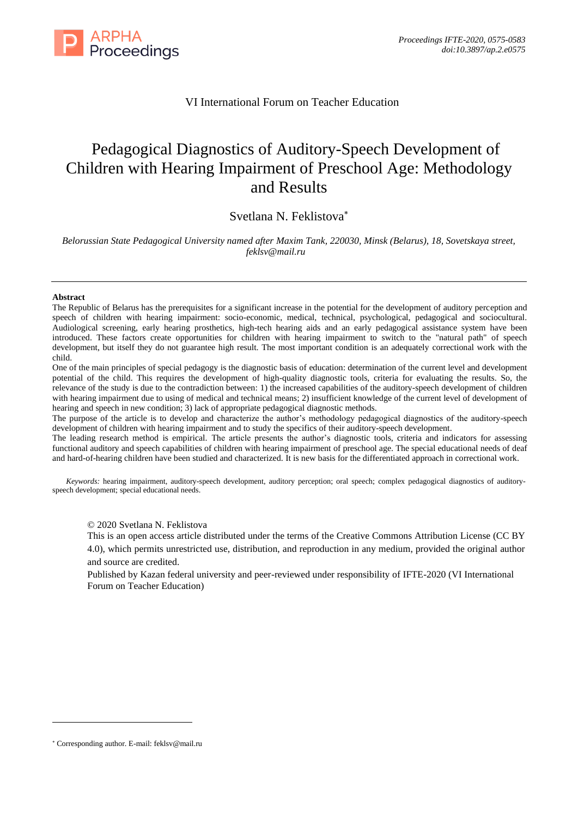

# VI International Forum on Teacher Education

# Pedagogical Diagnostics of Auditory-Speech Development of Children with Hearing Impairment of Preschool Age: Methodology and Results

# Svetlana N. Feklistova

*Belorussian State Pedagogical University named after Maxim Tank, 220030, Minsk (Belarus), 18, Sovetskaya street, feklsv@mail.ru*

#### **Abstract**

The Republic of Belarus has the prerequisites for a significant increase in the potential for the development of auditory perception and speech of children with hearing impairment: socio-economic, medical, technical, psychological, pedagogical and sociocultural. Audiological screening, early hearing prosthetics, high-tech hearing aids and an early pedagogical assistance system have been introduced. These factors create opportunities for children with hearing impairment to switch to the "natural path" of speech development, but itself they do not guarantee high result. The most important condition is an adequately correctional work with the child.

One of the main principles of special pedagogy is the diagnostic basis of education: determination of the current level and development potential of the child. This requires the development of high-quality diagnostic tools, criteria for evaluating the results. So, the relevance of the study is due to the contradiction between: 1) the increased capabilities of the auditory-speech development of children with hearing impairment due to using of medical and technical means; 2) insufficient knowledge of the current level of development of hearing and speech in new condition; 3) lack of appropriate pedagogical diagnostic methods.

The purpose of the article is to develop and characterize the author's methodology pedagogical diagnostics of the auditory-speech development of children with hearing impairment and to study the specifics of their auditory-speech development.

The leading research method is empirical. The article presents the author's diagnostic tools, criteria and indicators for assessing functional auditory and speech capabilities of children with hearing impairment of preschool age. The special educational needs of deaf and hard-of-hearing children have been studied and characterized. It is new basis for the differentiated approach in correctional work.

*Keywords:* hearing impairment, auditory-speech development, auditory perception; oral speech; complex pedagogical diagnostics of auditoryspeech development; special educational needs.

© 2020 Svetlana N. Feklistova

This is an open access article distributed under the terms of the Creative Commons Attribution License (CC BY 4.0), which permits unrestricted use, distribution, and reproduction in any medium, provided the original author and source are credited.

Published by Kazan federal university and peer-reviewed under responsibility of IFTE-2020 (VI International Forum on Teacher Education)

Corresponding author. E-mail: feklsv@mail.ru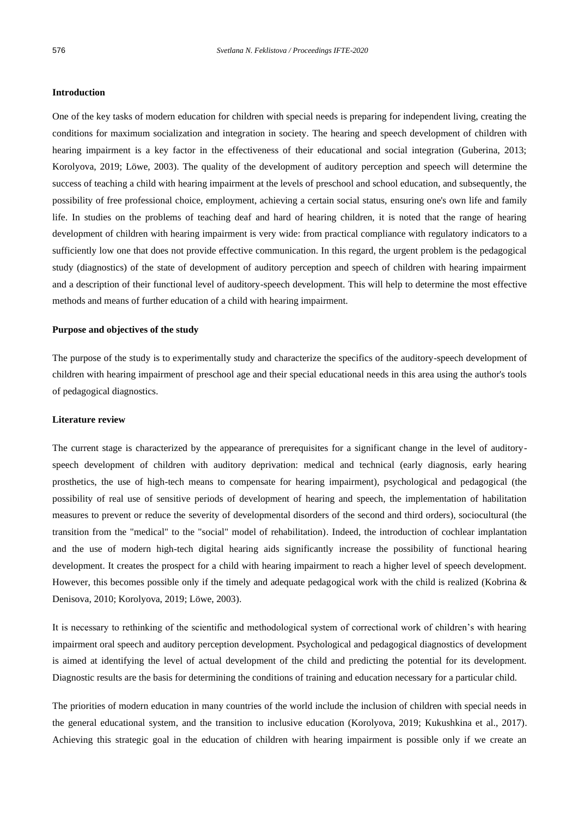## **Introduction**

One of the key tasks of modern education for children with special needs is preparing for independent living, creating the conditions for maximum socialization and integration in society. The hearing and speech development of children with hearing impairment is a key factor in the effectiveness of their educational and social integration (Guberina, 2013; Korolyova, 2019; Löwe, 2003). The quality of the development of auditory perception and speech will determine the success of teaching a child with hearing impairment at the levels of preschool and school education, and subsequently, the possibility of free professional choice, employment, achieving a certain social status, ensuring one's own life and family life. In studies on the problems of teaching deaf and hard of hearing children, it is noted that the range of hearing development of children with hearing impairment is very wide: from practical compliance with regulatory indicators to a sufficiently low one that does not provide effective communication. In this regard, the urgent problem is the pedagogical study (diagnostics) of the state of development of auditory perception and speech of children with hearing impairment and a description of their functional level of auditory-speech development. This will help to determine the most effective methods and means of further education of a child with hearing impairment.

#### **Purpose and objectives of the study**

The purpose of the study is to experimentally study and characterize the specifics of the auditory-speech development of children with hearing impairment of preschool age and their special educational needs in this area using the author's tools of pedagogical diagnostics.

# **Literature review**

The current stage is characterized by the appearance of prerequisites for a significant change in the level of auditoryspeech development of children with auditory deprivation: medical and technical (early diagnosis, early hearing prosthetics, the use of high-tech means to compensate for hearing impairment), psychological and pedagogical (the possibility of real use of sensitive periods of development of hearing and speech, the implementation of habilitation measures to prevent or reduce the severity of developmental disorders of the second and third orders), sociocultural (the transition from the "medical" to the "social" model of rehabilitation). Indeed, the introduction of cochlear implantation and the use of modern high-tech digital hearing aids significantly increase the possibility of functional hearing development. It creates the prospect for a child with hearing impairment to reach a higher level of speech development. However, this becomes possible only if the timely and adequate pedagogical work with the child is realized (Kobrina & Denisova, 2010; Korolyova, 2019; Löwe, 2003).

It is necessary to rethinking of the scientific and methodological system of correctional work of children's with hearing impairment oral speech and auditory perception development. Psychological and pedagogical diagnostics of development is aimed at identifying the level of actual development of the child and predicting the potential for its development. Diagnostic results are the basis for determining the conditions of training and education necessary for a particular child.

The priorities of modern education in many countries of the world include the inclusion of children with special needs in the general educational system, and the transition to inclusive education (Korolyova, 2019; Kukushkina et al., 2017). Achieving this strategic goal in the education of children with hearing impairment is possible only if we create an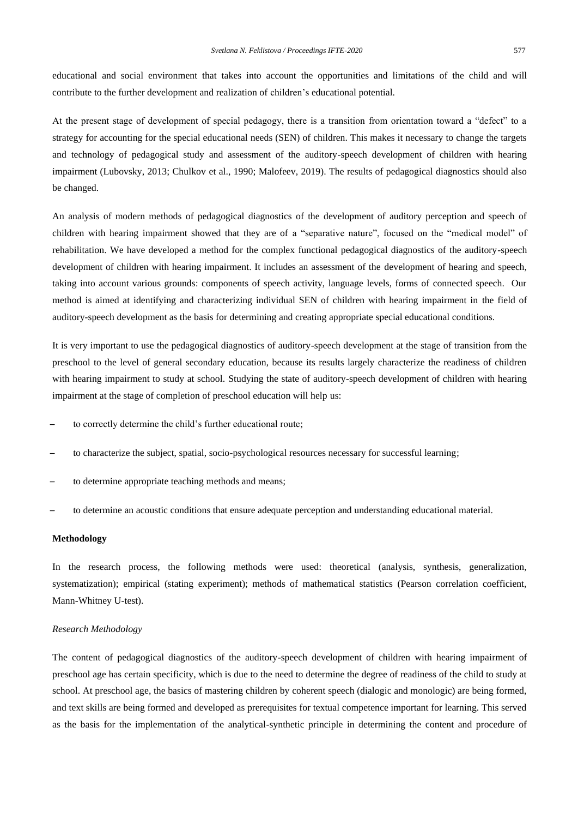educational and social environment that takes into account the opportunities and limitations of the child and will contribute to the further development and realization of children's educational potential.

At the present stage of development of special pedagogy, there is a transition from orientation toward a "defect" to a strategy for accounting for the special educational needs (SEN) of children. This makes it necessary to change the targets and technology of pedagogical study and assessment of the auditory-speech development of children with hearing impairment (Lubovsky, 2013; Chulkov et al., 1990; Malofeev, 2019). The results of pedagogical diagnostics should also be changed.

An analysis of modern methods of pedagogical diagnostics of the development of auditory perception and speech of children with hearing impairment showed that they are of a "separative nature", focused on the "medical model" of rehabilitation. We have developed a method for the complex functional pedagogical diagnostics of the auditory-speech development of children with hearing impairment. It includes an assessment of the development of hearing and speech, taking into account various grounds: components of speech activity, language levels, forms of connected speech. Our method is aimed at identifying and characterizing individual SEN of children with hearing impairment in the field of auditory-speech development as the basis for determining and creating appropriate special educational conditions.

It is very important to use the pedagogical diagnostics of auditory-speech development at the stage of transition from the preschool to the level of general secondary education, because its results largely characterize the readiness of children with hearing impairment to study at school. Studying the state of auditory-speech development of children with hearing impairment at the stage of completion of preschool education will help us:

- to correctly determine the child's further educational route;
- ̶ to characterize the subject, spatial, socio-psychological resources necessary for successful learning;
- to determine appropriate teaching methods and means;
- ̶ to determine an acoustic conditions that ensure adequate perception and understanding educational material.

#### **Methodology**

In the research process, the following methods were used: theoretical (analysis, synthesis, generalization, systematization); empirical (stating experiment); methods of mathematical statistics (Pearson correlation coefficient, Mann-Whitney U-test).

#### *Research Methodology*

The content of pedagogical diagnostics of the auditory-speech development of children with hearing impairment of preschool age has certain specificity, which is due to the need to determine the degree of readiness of the child to study at school. At preschool age, the basics of mastering children by coherent speech (dialogic and monologic) are being formed, and text skills are being formed and developed as prerequisites for textual competence important for learning. This served as the basis for the implementation of the analytical-synthetic principle in determining the content and procedure of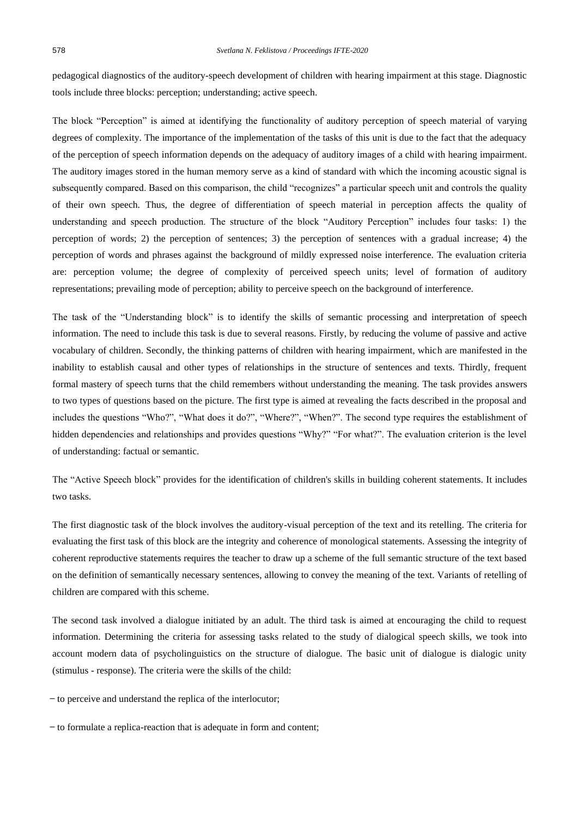pedagogical diagnostics of the auditory-speech development of children with hearing impairment at this stage. Diagnostic tools include three blocks: perception; understanding; active speech.

The block "Perception" is aimed at identifying the functionality of auditory perception of speech material of varying degrees of complexity. The importance of the implementation of the tasks of this unit is due to the fact that the adequacy of the perception of speech information depends on the adequacy of auditory images of a child with hearing impairment. The auditory images stored in the human memory serve as a kind of standard with which the incoming acoustic signal is subsequently compared. Based on this comparison, the child "recognizes" a particular speech unit and controls the quality of their own speech. Thus, the degree of differentiation of speech material in perception affects the quality of understanding and speech production. The structure of the block "Auditory Perception" includes four tasks: 1) the perception of words; 2) the perception of sentences; 3) the perception of sentences with a gradual increase; 4) the perception of words and phrases against the background of mildly expressed noise interference. The evaluation criteria are: perception volume; the degree of complexity of perceived speech units; level of formation of auditory representations; prevailing mode of perception; ability to perceive speech on the background of interference.

The task of the "Understanding block" is to identify the skills of semantic processing and interpretation of speech information. The need to include this task is due to several reasons. Firstly, by reducing the volume of passive and active vocabulary of children. Secondly, the thinking patterns of children with hearing impairment, which are manifested in the inability to establish causal and other types of relationships in the structure of sentences and texts. Thirdly, frequent formal mastery of speech turns that the child remembers without understanding the meaning. The task provides answers to two types of questions based on the picture. The first type is aimed at revealing the facts described in the proposal and includes the questions "Who?", "What does it do?", "Where?", "When?". The second type requires the establishment of hidden dependencies and relationships and provides questions "Why?" "For what?". The evaluation criterion is the level of understanding: factual or semantic.

The "Active Speech block" provides for the identification of children's skills in building coherent statements. It includes two tasks.

The first diagnostic task of the block involves the auditory-visual perception of the text and its retelling. The criteria for evaluating the first task of this block are the integrity and coherence of monological statements. Assessing the integrity of coherent reproductive statements requires the teacher to draw up a scheme of the full semantic structure of the text based on the definition of semantically necessary sentences, allowing to convey the meaning of the text. Variants of retelling of children are compared with this scheme.

The second task involved a dialogue initiated by an adult. The third task is aimed at encouraging the child to request information. Determining the criteria for assessing tasks related to the study of dialogical speech skills, we took into account modern data of psycholinguistics on the structure of dialogue. The basic unit of dialogue is dialogic unity (stimulus - response). The criteria were the skills of the child:

̶ to perceive and understand the replica of the interlocutor;

̶ to formulate a replica-reaction that is adequate in form and content;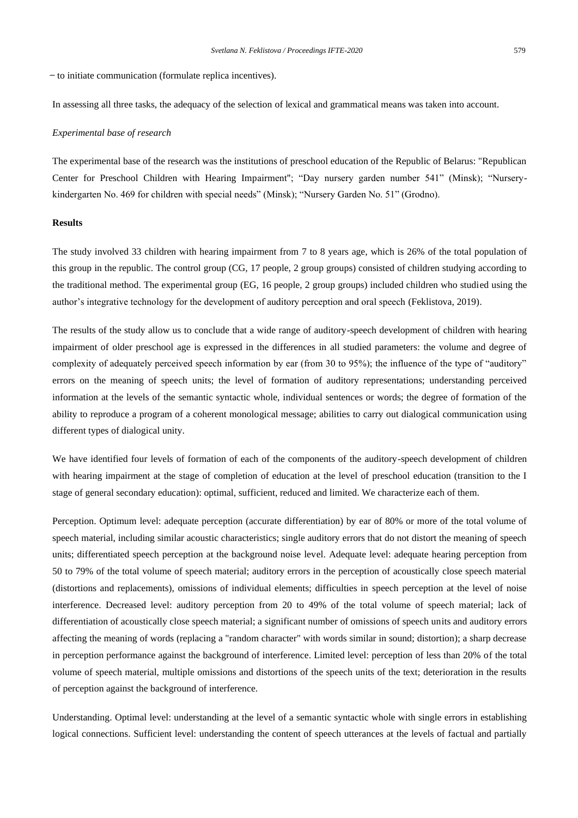̶ to initiate communication (formulate replica incentives).

In assessing all three tasks, the adequacy of the selection of lexical and grammatical means was taken into account.

#### *Experimental base of research*

The experimental base of the research was the institutions of preschool education of the Republic of Belarus: "Republican Center for Preschool Children with Hearing Impairment"; "Day nursery garden number 541" (Minsk); "Nurserykindergarten No. 469 for children with special needs" (Minsk); "Nursery Garden No. 51" (Grodno).

## **Results**

The study involved 33 children with hearing impairment from 7 to 8 years age, which is 26% of the total population of this group in the republic. The control group (CG, 17 people, 2 group groups) consisted of children studying according to the traditional method. The experimental group (EG, 16 people, 2 group groups) included children who studied using the author's integrative technology for the development of auditory perception and oral speech (Feklistova, 2019).

The results of the study allow us to conclude that a wide range of auditory-speech development of children with hearing impairment of older preschool age is expressed in the differences in all studied parameters: the volume and degree of complexity of adequately perceived speech information by ear (from 30 to 95%); the influence of the type of "auditory" errors on the meaning of speech units; the level of formation of auditory representations; understanding perceived information at the levels of the semantic syntactic whole, individual sentences or words; the degree of formation of the ability to reproduce a program of a coherent monological message; abilities to carry out dialogical communication using different types of dialogical unity.

We have identified four levels of formation of each of the components of the auditory-speech development of children with hearing impairment at the stage of completion of education at the level of preschool education (transition to the I stage of general secondary education): optimal, sufficient, reduced and limited. We characterize each of them.

Perception. Optimum level: adequate perception (accurate differentiation) by ear of 80% or more of the total volume of speech material, including similar acoustic characteristics; single auditory errors that do not distort the meaning of speech units; differentiated speech perception at the background noise level. Adequate level: adequate hearing perception from 50 to 79% of the total volume of speech material; auditory errors in the perception of acoustically close speech material (distortions and replacements), omissions of individual elements; difficulties in speech perception at the level of noise interference. Decreased level: auditory perception from 20 to 49% of the total volume of speech material; lack of differentiation of acoustically close speech material; a significant number of omissions of speech units and auditory errors affecting the meaning of words (replacing a "random character" with words similar in sound; distortion); a sharp decrease in perception performance against the background of interference. Limited level: perception of less than 20% of the total volume of speech material, multiple omissions and distortions of the speech units of the text; deterioration in the results of perception against the background of interference.

Understanding. Optimal level: understanding at the level of a semantic syntactic whole with single errors in establishing logical connections. Sufficient level: understanding the content of speech utterances at the levels of factual and partially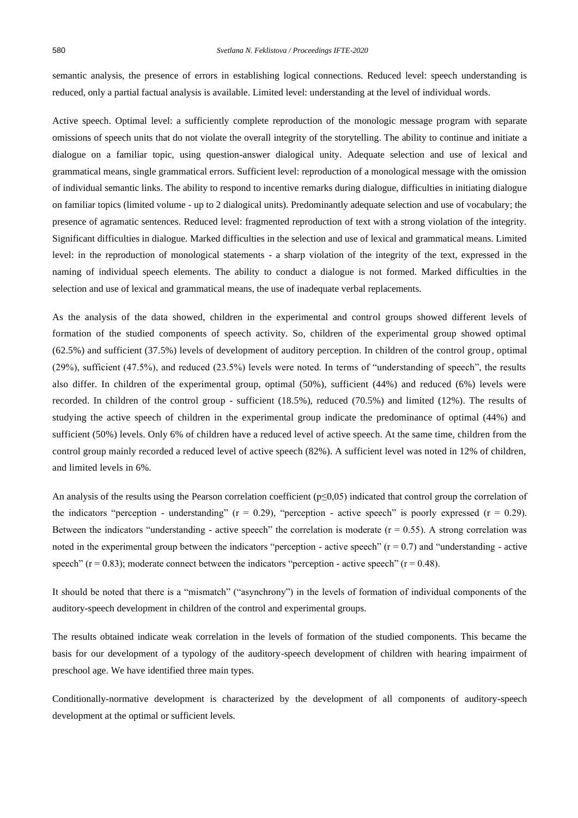semantic analysis, the presence of errors in establishing logical connections. Reduced level: speech understanding is reduced, only a partial factual analysis is available. Limited level: understanding at the level of individual words.

Active speech. Optimal level: a sufficiently complete reproduction of the monologic message program with separate omissions of speech units that do not violate the overall integrity of the storytelling. The ability to continue and initiate a dialogue on a familiar topic, using question-answer dialogical unity. Adequate selection and use of lexical and grammatical means, single grammatical errors. Sufficient level: reproduction of a monological message with the omission of individual semantic links. The ability to respond to incentive remarks during dialogue, difficulties in initiating dialogue on familiar topics (limited volume - up to 2 dialogical units). Predominantly adequate selection and use of vocabulary; the presence of agramatic sentences. Reduced level: fragmented reproduction of text with a strong violation of the integrity. Significant difficulties in dialogue. Marked difficulties in the selection and use of lexical and grammatical means. Limited level: in the reproduction of monological statements - a sharp violation of the integrity of the text, expressed in the naming of individual speech elements. The ability to conduct a dialogue is not formed. Marked difficulties in the selection and use of lexical and grammatical means, the use of inadequate verbal replacements.

As the analysis of the data showed, children in the experimental and control groups showed different levels of formation of the studied components of speech activity. So, children of the experimental group showed optimal (62.5%) and sufficient (37.5%) levels of development of auditory perception. In children of the control group , optimal (29%), sufficient (47.5%), and reduced (23.5%) levels were noted. In terms of "understanding of speech", the results also differ. In children of the experimental group, optimal (50%), sufficient (44%) and reduced (6%) levels were recorded. In children of the control group - sufficient (18.5%), reduced (70.5%) and limited (12%). The results of studying the active speech of children in the experimental group indicate the predominance of optimal (44%) and sufficient (50%) levels. Only 6% of children have a reduced level of active speech. At the same time, children from the control group mainly recorded a reduced level of active speech (82%). A sufficient level was noted in 12% of children, and limited levels in 6%.

An analysis of the results using the Pearson correlation coefficient ( $p \le 0.05$ ) indicated that control group the correlation of the indicators "perception - understanding" ( $r = 0.29$ ), "perception - active speech" is poorly expressed ( $r = 0.29$ ). Between the indicators "understanding - active speech" the correlation is moderate  $(r = 0.55)$ . A strong correlation was noted in the experimental group between the indicators "perception - active speech"  $(r = 0.7)$  and "understanding - active speech" ( $r = 0.83$ ); moderate connect between the indicators "perception - active speech" ( $r = 0.48$ ).

It should be noted that there is a "mismatch" ("asynchrony") in the levels of formation of individual components of the auditory-speech development in children of the control and experimental groups.

The results obtained indicate weak correlation in the levels of formation of the studied components. This became the basis for our development of a typology of the auditory-speech development of children with hearing impairment of preschool age. We have identified three main types.

Conditionally-normative development is characterized by the development of all components of auditory-speech development at the optimal or sufficient levels.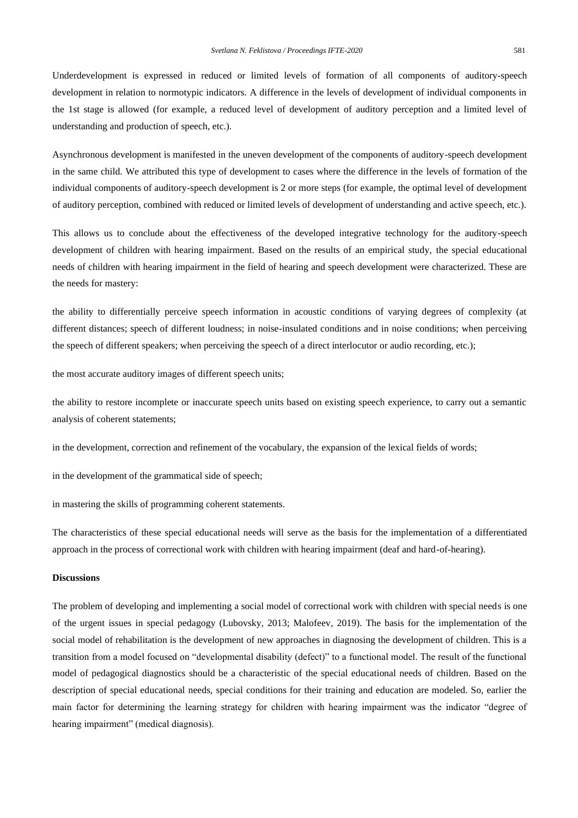Underdevelopment is expressed in reduced or limited levels of formation of all components of auditory-speech development in relation to normotypic indicators. A difference in the levels of development of individual components in the 1st stage is allowed (for example, a reduced level of development of auditory perception and a limited level of understanding and production of speech, etc.).

Asynchronous development is manifested in the uneven development of the components of auditory-speech development in the same child. We attributed this type of development to cases where the difference in the levels of formation of the individual components of auditory-speech development is 2 or more steps (for example, the optimal level of development of auditory perception, combined with reduced or limited levels of development of understanding and active speech, etc.).

This allows us to conclude about the effectiveness of the developed integrative technology for the auditory-speech development of children with hearing impairment. Based on the results of an empirical study, the special educational needs of children with hearing impairment in the field of hearing and speech development were characterized. These are the needs for mastery:

the ability to differentially perceive speech information in acoustic conditions of varying degrees of complexity (at different distances; speech of different loudness; in noise-insulated conditions and in noise conditions; when perceiving the speech of different speakers; when perceiving the speech of a direct interlocutor or audio recording, etc.);

the most accurate auditory images of different speech units;

the ability to restore incomplete or inaccurate speech units based on existing speech experience, to carry out a semantic analysis of coherent statements;

in the development, correction and refinement of the vocabulary, the expansion of the lexical fields of words;

in the development of the grammatical side of speech;

in mastering the skills of programming coherent statements.

The characteristics of these special educational needs will serve as the basis for the implementation of a differentiated approach in the process of correctional work with children with hearing impairment (deaf and hard-of-hearing).

# **Discussions**

The problem of developing and implementing a social model of correctional work with children with special needs is one of the urgent issues in special pedagogy (Lubovsky, 2013; Malofeev, 2019). The basis for the implementation of the social model of rehabilitation is the development of new approaches in diagnosing the development of children. This is a transition from a model focused on "developmental disability (defect)" to a functional model. The result of the functional model of pedagogical diagnostics should be a characteristic of the special educational needs of children. Based on the description of special educational needs, special conditions for their training and education are modeled. So, earlier the main factor for determining the learning strategy for children with hearing impairment was the indicator "degree of hearing impairment" (medical diagnosis).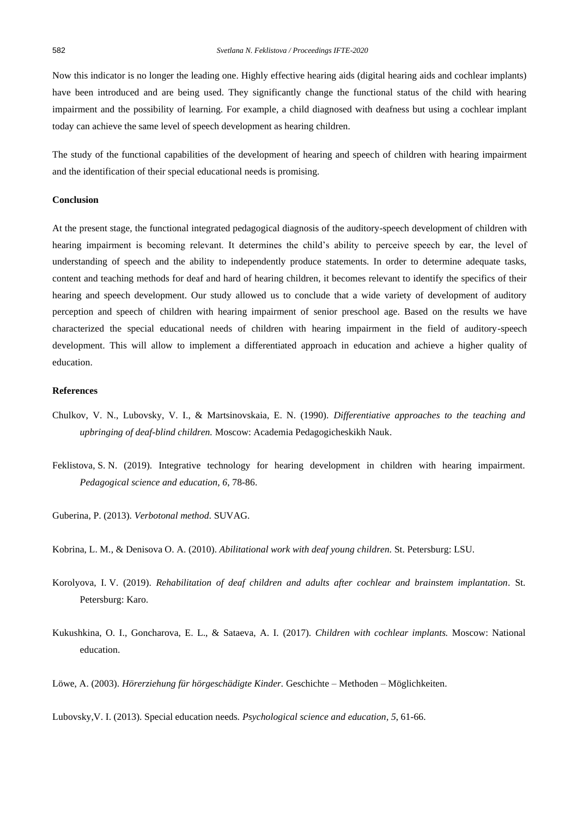Now this indicator is no longer the leading one. Highly effective hearing aids (digital hearing aids and cochlear implants) have been introduced and are being used. They significantly change the functional status of the child with hearing impairment and the possibility of learning. For example, a child diagnosed with deafness but using a cochlear implant today can achieve the same level of speech development as hearing children.

The study of the functional capabilities of the development of hearing and speech of children with hearing impairment and the identification of their special educational needs is promising.

# **Conclusion**

At the present stage, the functional integrated pedagogical diagnosis of the auditory-speech development of children with hearing impairment is becoming relevant. It determines the child's ability to perceive speech by ear, the level of understanding of speech and the ability to independently produce statements. In order to determine adequate tasks, content and teaching methods for deaf and hard of hearing children, it becomes relevant to identify the specifics of their hearing and speech development. Our study allowed us to conclude that a wide variety of development of auditory perception and speech of children with hearing impairment of senior preschool age. Based on the results we have characterized the special educational needs of children with hearing impairment in the field of auditory-speech development. This will allow to implement a differentiated approach in education and achieve a higher quality of education.

# **References**

- Chulkov, V. N., Lubovsky, V. I., & Martsinovskaia, E. N. (1990). *Differentiative approaches to the teaching and upbringing of deaf-blind children.* Moscow: Academia Pedagogicheskikh Nauk.
- Feklistova, S. N. (2019). Integrative technology for hearing development in children with hearing impairment. *Pedagogical science and education, 6*, 78-86.
- Guberina, P. (2013). *Verbotonal method.* SUVAG.
- Kobrina, L. M., & Denisova O. A. (2010). *Abilitational work with deaf young children.* St. Petersburg: LSU.
- Korolyova, I. V. (2019). *Rehabilitation of deaf children and adults after cochlear and brainstem implantation.* St. Petersburg: Karo.
- Kukushkina, O. I., Goncharova, E. L., & Sataeva, A. I. (2017). *Children with cochlear implants.* Moscow: National education.

Löwe, A. (2003). *Hörerziehung für hörgeschädigte Kinder.* Geschichte – Methoden – Möglichkeiten.

Lubovsky,V. I. (2013). Special education needs*. Psychological science and education, 5*, 61-66.